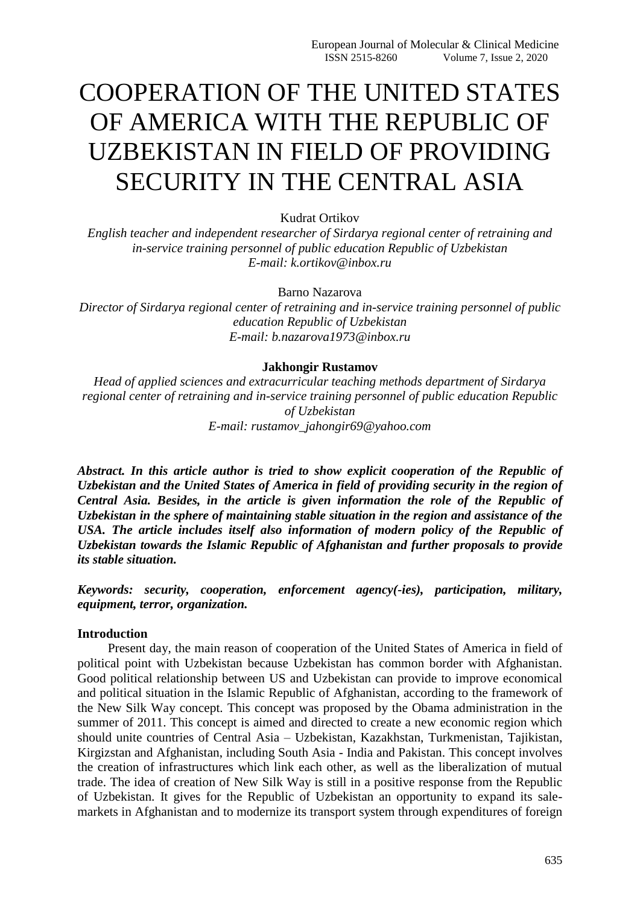# COOPERATION OF THE UNITED STATES OF AMERICA WITH THE REPUBLIC OF UZBEKISTAN IN FIELD OF PROVIDING SECURITY IN THE CENTRAL ASIA

Kudrat Ortikov

*English teacher and independent researcher of Sirdarya regional center of retraining and in-service training personnel of public education Republic of Uzbekistan E-mail: k.ortikov@inbox.ru*

Barno Nazarova

*Director of Sirdarya regional center of retraining and in-service training personnel of public education Republic of Uzbekistan E-mail: b.nazarova1973@inbox.ru*

#### **Jakhongir Rustamov**

*Head of applied sciences and extracurricular teaching methods department of Sirdarya regional center of retraining and in-service training personnel of public education Republic of Uzbekistan E-mail: rustamov\_jahongir69@yahoo.com*

*Abstract. In this article author is tried to show explicit cooperation of the Republic of Uzbekistan and the United States of America in field of providing security in the region of Central Asia. Besides, in the article is given information the role of the Republic of Uzbekistan in the sphere of maintaining stable situation in the region and assistance of the USA. The article includes itself also information of modern policy of the Republic of Uzbekistan towards the Islamic Republic of Afghanistan and further proposals to provide its stable situation.*

*Keywords: security, cooperation, enforcement agency(-ies), participation, military, equipment, terror, organization.*

### **Introduction**

Present day, the main reason of cooperation of the United States of America in field of political point with Uzbekistan because Uzbekistan has common border with Afghanistan. Good political relationship between US and Uzbekistan can provide to improve economical and political situation in the Islamic Republic of Afghanistan, according to the framework of the New Silk Way concept. This concept was proposed by the Obama administration in the summer of 2011. This concept is aimed and directed to create a new economic region which should unite countries of Central Asia – Uzbekistan, Kazakhstan, Turkmenistan, Tajikistan, Kirgizstan and Afghanistan, including South Asia - India and Pakistan. This concept involves the creation of infrastructures which link each other, as well as the liberalization of mutual trade. The idea of creation of New Silk Way is still in a positive response from the Republic of Uzbekistan. It gives for the Republic of Uzbekistan an opportunity to expand its salemarkets in Afghanistan and to modernize its transport system through expenditures of foreign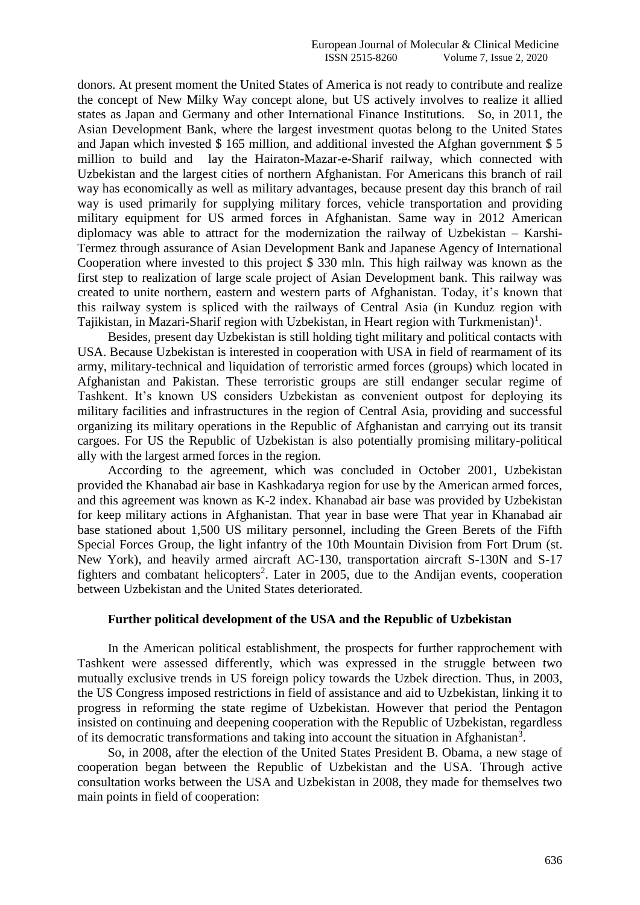donors. At present moment the United States of America is not ready to contribute and realize the concept of New Milky Way concept alone, but US actively involves to realize it allied states as Japan and Germany and other International Finance Institutions. So, in 2011, the Asian Development Bank, where the largest investment quotas belong to the United States and Japan which invested \$ 165 million, and additional invested the Afghan government \$ 5 million to build and lay the Hairaton-Mazar-e-Sharif railway, which connected with Uzbekistan and the largest cities of northern Afghanistan. For Americans this branch of rail way has economically as well as military advantages, because present day this branch of rail way is used primarily for supplying military forces, vehicle transportation and providing military equipment for US armed forces in Afghanistan. Same way in 2012 American diplomacy was able to attract for the modernization the railway of Uzbekistan – Karshi-Termez through assurance of Asian Development Bank and Japanese Agency of International Cooperation where invested to this project \$ 330 mln. This high railway was known as the first step to realization of large scale project of Asian Development bank. This railway was created to unite northern, eastern and western parts of Afghanistan. Today, it's known that this railway system is spliced with the railways of Central Asia (in Kunduz region with Tajikistan, in Mazari-Sharif region with Uzbekistan, in Heart region with Turkmenistan)<sup>1</sup>.

Besides, present day Uzbekistan is still holding tight military and political contacts with USA. Because Uzbekistan is interested in cooperation with USA in field of rearmament of its army, military-technical and liquidation of terroristic armed forces (groups) which located in Afghanistan and Pakistan. These terroristic groups are still endanger secular regime of Tashkent. It's known US considers Uzbekistan as convenient outpost for deploying its military facilities and infrastructures in the region of Central Asia, providing and successful organizing its military operations in the Republic of Afghanistan and carrying out its transit cargoes. For US the Republic of Uzbekistan is also potentially promising military-political ally with the largest armed forces in the region.

According to the agreement, which was concluded in October 2001, Uzbekistan provided the Khanabad air base in Kashkadarya region for use by the American armed forces, and this agreement was known as K-2 index. Khanabad air base was provided by Uzbekistan for keep military actions in Afghanistan. That year in base were That year in Khanabad air base stationed about 1,500 US military personnel, including the Green Berets of the Fifth Special Forces Group, the light infantry of the 10th Mountain Division from Fort Drum (st. New York), and heavily armed aircraft AC-130, transportation aircraft S-130N and S-17 fighters and combatant helicopters<sup>2</sup>. Later in 2005, due to the Andijan events, cooperation between Uzbekistan and the United States deteriorated.

## **Further political development of the USA and the Republic of Uzbekistan**

In the American political establishment, the prospects for further rapprochement with Tashkent were assessed differently, which was expressed in the struggle between two mutually exclusive trends in US foreign policy towards the Uzbek direction. Thus, in 2003, the US Congress imposed restrictions in field of assistance and aid to Uzbekistan, linking it to progress in reforming the state regime of Uzbekistan. However that period the Pentagon insisted on continuing and deepening cooperation with the Republic of Uzbekistan, regardless of its democratic transformations and taking into account the situation in Afghanistan<sup>3</sup>.

So, in 2008, after the election of the United States President B. Obama, a new stage of cooperation began between the Republic of Uzbekistan and the USA. Through active consultation works between the USA and Uzbekistan in 2008, they made for themselves two main points in field of cooperation: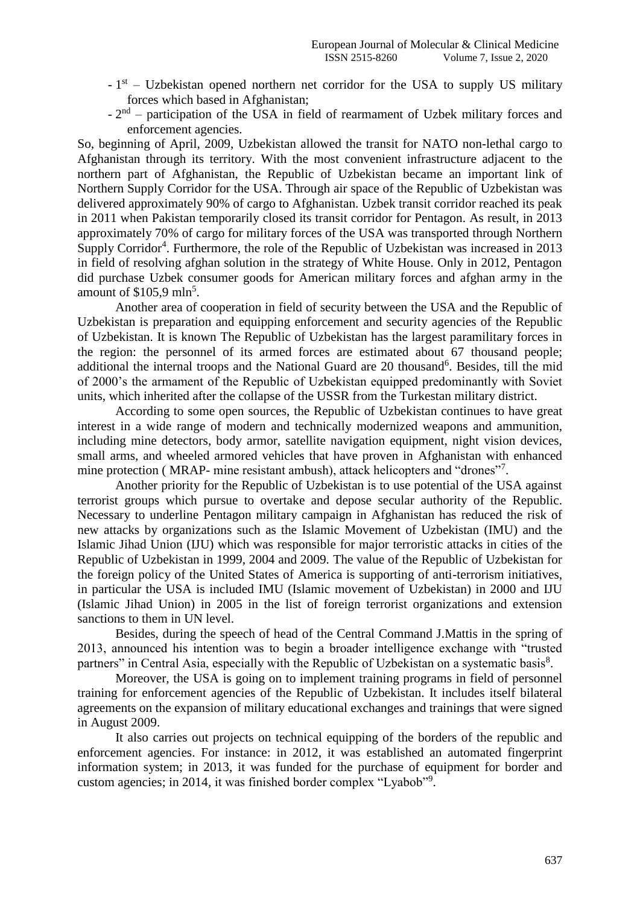- $-1<sup>st</sup>$  Uzbekistan opened northern net corridor for the USA to supply US military forces which based in Afghanistan;
- $-2<sup>nd</sup>$  participation of the USA in field of rearmament of Uzbek military forces and enforcement agencies.

So, beginning of April, 2009, Uzbekistan allowed the transit for NATO non-lethal cargo to Afghanistan through its territory. With the most convenient infrastructure adjacent to the northern part of Afghanistan, the Republic of Uzbekistan became an important link of Northern Supply Corridor for the USA. Through air space of the Republic of Uzbekistan was delivered approximately 90% of cargo to Afghanistan. Uzbek transit corridor reached its peak in 2011 when Pakistan temporarily closed its transit corridor for Pentagon. As result, in 2013 approximately 70% of cargo for military forces of the USA was transported through Northern Supply Corridor<sup>4</sup>. Furthermore, the role of the Republic of Uzbekistan was increased in 2013 in field of resolving afghan solution in the strategy of White House. Only in 2012, Pentagon did purchase Uzbek consumer goods for American military forces and afghan army in the amount of  $$105,9$  mln<sup>5</sup>.

Another area of cooperation in field of security between the USA and the Republic of Uzbekistan is preparation and equipping enforcement and security agencies of the Republic of Uzbekistan. It is known The Republic of Uzbekistan has the largest paramilitary forces in the region: the personnel of its armed forces are estimated about 67 thousand people; additional the internal troops and the National Guard are 20 thousand<sup>6</sup>. Besides, till the mid of 2000's the armament of the Republic of Uzbekistan equipped predominantly with Soviet units, which inherited after the collapse of the USSR from the Turkestan military district.

According to some open sources, the Republic of Uzbekistan continues to have great interest in a wide range of modern and technically modernized weapons and ammunition, including mine detectors, body armor, satellite navigation equipment, night vision devices, small arms, and wheeled armored vehicles that have proven in Afghanistan with enhanced mine protection (MRAP- mine resistant ambush), attack helicopters and "drones"<sup>7</sup>.

Another priority for the Republic of Uzbekistan is to use potential of the USA against terrorist groups which pursue to overtake and depose secular authority of the Republic. Necessary to underline Pentagon military campaign in Afghanistan has reduced the risk of new attacks by organizations such as the Islamic Movement of Uzbekistan (IMU) and the Islamic Jihad Union (IJU) which was responsible for major terroristic attacks in cities of the Republic of Uzbekistan in 1999, 2004 and 2009. The value of the Republic of Uzbekistan for the foreign policy of the United States of America is supporting of anti-terrorism initiatives, in particular the USA is included IMU (Islamic movement of Uzbekistan) in 2000 and IJU (Islamic Jihad Union) in 2005 in the list of foreign terrorist organizations and extension sanctions to them in UN level.

Besides, during the speech of head of the Central Command J.Mattis in the spring of 2013, announced his intention was to begin a broader intelligence exchange with "trusted partners" in Central Asia, especially with the Republic of Uzbekistan on a systematic basis<sup>8</sup>.

Moreover, the USA is going on to implement training programs in field of personnel training for enforcement agencies of the Republic of Uzbekistan. It includes itself bilateral agreements on the expansion of military educational exchanges and trainings that were signed in August 2009.

It also carries out projects on technical equipping of the borders of the republic and enforcement agencies. For instance: in 2012, it was established an automated fingerprint information system; in 2013, it was funded for the purchase of equipment for border and custom agencies; in 2014, it was finished border complex "Lyabob"<sup>9</sup> .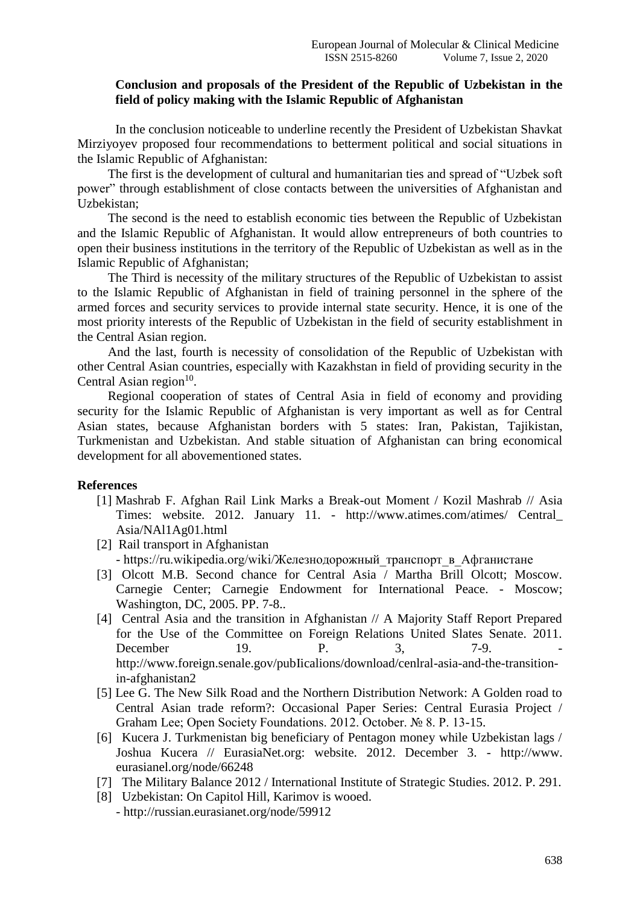# **Conclusion and proposals of the President of the Republic of Uzbekistan in the field of policy making with the Islamic Republic of Afghanistan**

In the conclusion noticeable to underline recently the President of Uzbekistan Shavkat Mirziyoyev proposed four recommendations to betterment political and social situations in the Islamic Republic of Afghanistan:

The first is the development of cultural and humanitarian ties and spread of "Uzbek soft power" through establishment of close contacts between the universities of Afghanistan and Uzbekistan;

The second is the need to establish economic ties between the Republic of Uzbekistan and the Islamic Republic of Afghanistan. It would allow entrepreneurs of both countries to open their business institutions in the territory of the Republic of Uzbekistan as well as in the Islamic Republic of Afghanistan;

The Third is necessity of the military structures of the Republic of Uzbekistan to assist to the Islamic Republic of Afghanistan in field of training personnel in the sphere of the armed forces and security services to provide internal state security. Hence, it is one of the most priority interests of the Republic of Uzbekistan in the field of security establishment in the Central Asian region.

And the last, fourth is necessity of consolidation of the Republic of Uzbekistan with other Central Asian countries, especially with Kazakhstan in field of providing security in the Central Asian region $10$ .

Regional cooperation of states of Central Asia in field of economy and providing security for the Islamic Republic of Afghanistan is very important as well as for Central Asian states, because Afghanistan borders with 5 states: Iran, Pakistan, Tajikistan, Turkmenistan and Uzbekistan. And stable situation of Afghanistan can bring economical development for all abovementioned states.

#### **References**

- [1] Mashrab F. Afghan Rail Link Marks a Break-out Moment / Kozil Mashrab // Asia Times: website. 2012. January 11. - http://www.atimes.com/atimes/ Central\_ Asia/NAl1Ag01.html
- [2] Rail transport in Afghanistan - https://ru.wikipedia.org/wiki/Железнодорожный транспорт в Афганистане
- [3] Olcott M.B. Second chance for Central Asia / Martha Brill Olcott; Moscow. Carnegie Center; Carnegie Endowment for International Peace. - Moscow; Washington, DC, 2005. PP. 7-8..
- [4] Central Asia and the transition in Afghanistan // A Majority Staff Report Prepared for the Use of the Committee on Foreign Relations United Slates Senate. 2011. December 19. P. 3, 7-9. http://www.foreign.senale.gov/pubIicalions/download/cenlral-asia-and-the-transitionin-afghanistan2
- [5] Lee G. The New Silk Road and the Northern Distribution Network: A Golden road to Central Asian trade reform?: Occasional Paper Series: Central Eurasia Project / Graham Lee; Open Society Foundations. 2012. October. № 8. P. 13-15.
- [6] Kucera J. Turkmenistan big beneficiary of Pentagon money while Uzbekistan lags / Joshua Kucera // EurasiaNet.org: website. 2012. December 3. - http://www. eurasianel.org/node/66248
- [7] The Military Balance 2012 / International Institute of Strategic Studies. 2012. P. 291.
- [8] Uzbekistan: On Capitol Hill, Karimov is wooed.
	- http://russian.eurasianet.org/node/59912